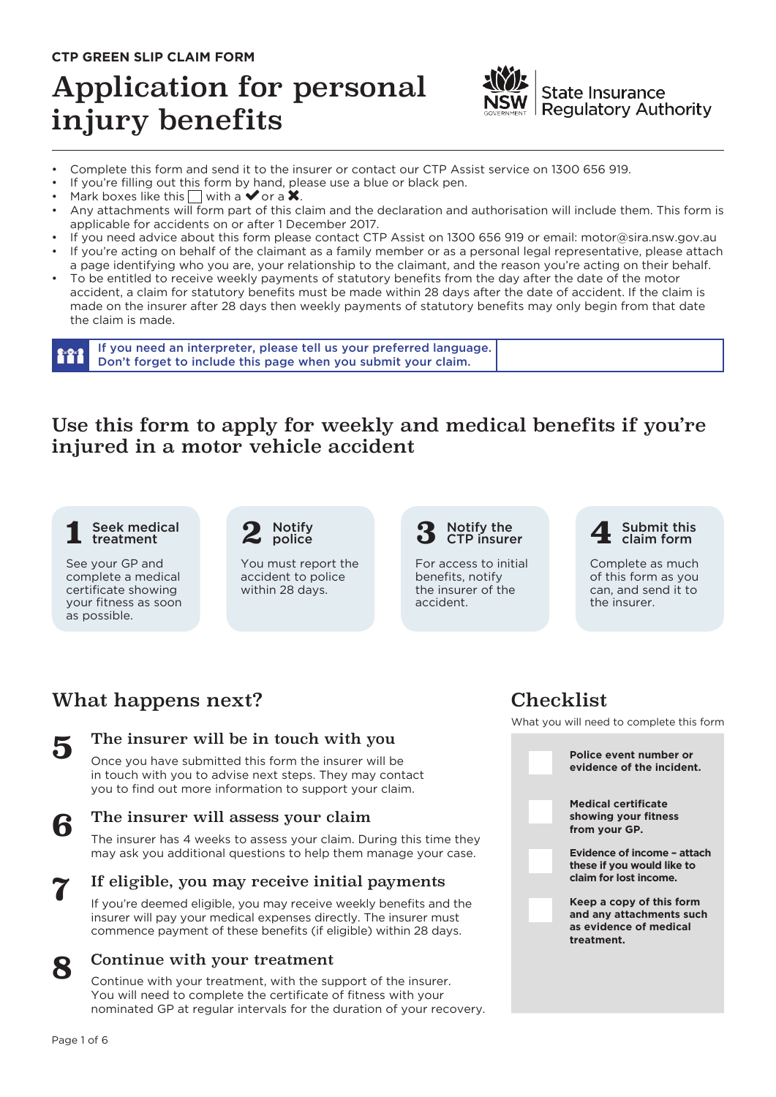### **CTP GREEN SLIP CLAIM FORM**

# Application for personal injury benefits



**State Insurance Regulatory Authority** 

- Complete this form and send it to the insurer or contact our CTP Assist service on 1300 656 919.
- If you're filling out this form by hand, please use a blue or black pen.<br>• Mark boxes like this  $\Box$  with a  $\blacktriangledown$  or a **X**.
- 
- Any attachments will form part of this claim and the declaration and authorisation will include them. This form is applicable for accidents on or after 1 December 2017.
- If you need advice about this form please contact CTP Assist on 1300 656 919 or email: motor@sira.nsw.gov.au
- If you're acting on behalf of the claimant as a family member or as a personal legal representative, please attach a page identifying who you are, your relationship to the claimant, and the reason you're acting on their behalf.
- To be entitled to receive weekly payments of statutory benefits from the day after the date of the motor accident, a claim for statutory benefits must be made within 28 days after the date of accident. If the claim is made on the insurer after 28 days then weekly payments of statutory benefits may only begin from that date the claim is made.

If you need an interpreter, please tell us your preferred language. 111 Don't forget to include this page when you submit your claim.

### Use this form to apply for weekly and medical benefits if you're injured in a motor vehicle accident

#### Seek medical **2** Notify<br>treatment **2** police **3** treatment **1**

See your GP and complete a medical certificate showing your fitness as soon as possible.

#### **2** Notify police

You must report the accident to police within 28 days.

#### Notify the CTP insurer

For access to initial benefits, notify the insurer of the accident.



Complete as much of this form as you can, and send it to the insurer.

# What happens next?



### The insurer will be in touch with you

Once you have submitted this form the insurer will be in touch with you to advise next steps. They may contact you to find out more information to support your claim.

### The insurer will assess your claim

The insurer has 4 weeks to assess your claim. During this time they may ask you additional questions to help them manage your case.



**8**

**6**

### If eligible, you may receive initial payments

If you're deemed eligible, you may receive weekly benefits and the insurer will pay your medical expenses directly. The insurer must commence payment of these benefits (if eligible) within 28 days.

### Continue with your treatment

Continue with your treatment, with the support of the insurer. You will need to complete the certificate of fitness with your nominated GP at regular intervals for the duration of your recovery.

## Checklist

What you will need to complete this form

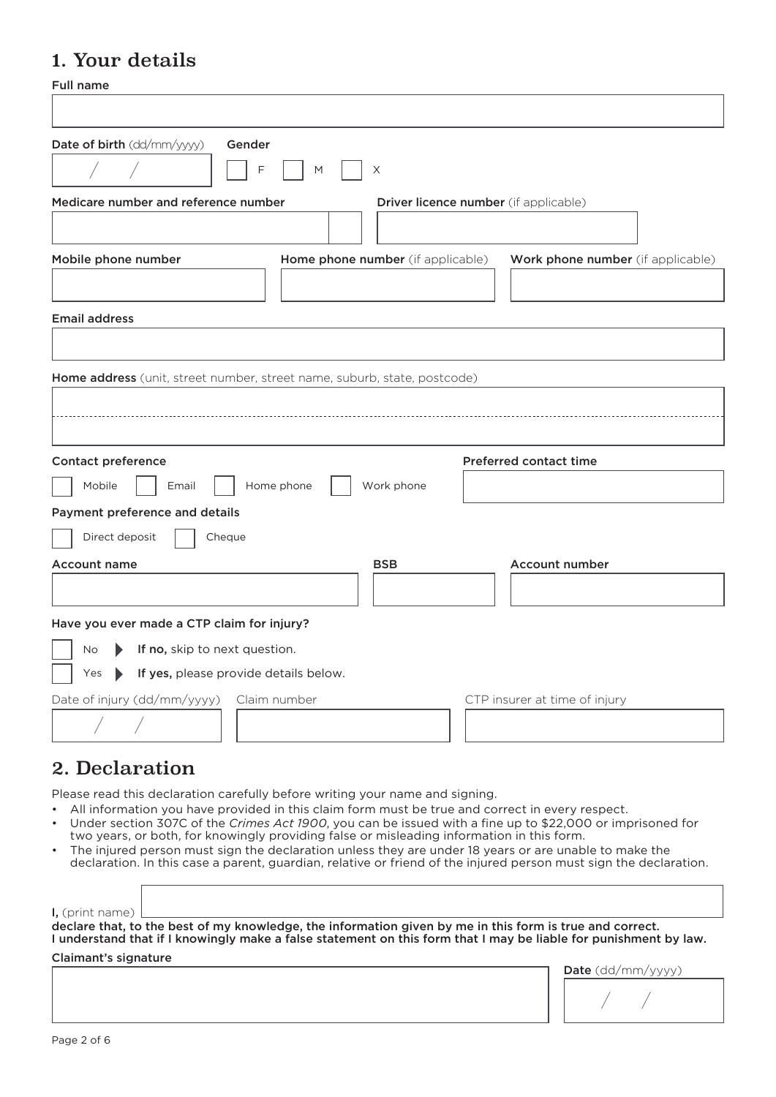# 1. Your details

Full name

| гин нашс                                                                 |                                       |
|--------------------------------------------------------------------------|---------------------------------------|
| Date of birth (dd/mm/yyyy)<br>Gender<br>F<br>X<br>M                      |                                       |
| Medicare number and reference number                                     | Driver licence number (if applicable) |
| Mobile phone number<br>Home phone number (if applicable)                 | Work phone number (if applicable)     |
| <b>Email address</b>                                                     |                                       |
| Home address (unit, street number, street name, suburb, state, postcode) |                                       |
| <b>Contact preference</b>                                                | <b>Preferred contact time</b>         |
| Mobile<br>Home phone<br>Work phone<br>Email                              |                                       |
| Payment preference and details                                           |                                       |
| Direct deposit<br>Cheque                                                 |                                       |
| <b>BSB</b><br><b>Account name</b>                                        | Account number                        |
| Have you ever made a CTP claim for injury?                               |                                       |
| If no, skip to next question.<br><b>No</b><br>$\blacktriangleright$      |                                       |
| Yes > If yes, please provide details below.                              |                                       |
| Date of injury (dd/mm/yyyy)<br>Claim number                              | CTP insurer at time of injury         |
|                                                                          |                                       |
| 2. Declaration                                                           |                                       |

Please read this declaration carefully before writing your name and signing.

- All information you have provided in this claim form must be true and correct in every respect.
- Under section 307C of the *Crimes Act 1900*, you can be issued with a fine up to \$22,000 or imprisoned for two years, or both, for knowingly providing false or misleading information in this form.
- The injured person must sign the declaration unless they are under 18 years or are unable to make the declaration. In this case a parent, guardian, relative or friend of the injured person must sign the declaration.

I, (print name)

declare that, to the best of my knowledge, the information given by me in this form is true and correct. I understand that if I knowingly make a false statement on this form that I may be liable for punishment by law.

Claimant's signature

| $Date$ (dd/mm/yyyy) |
|---------------------|
|                     |

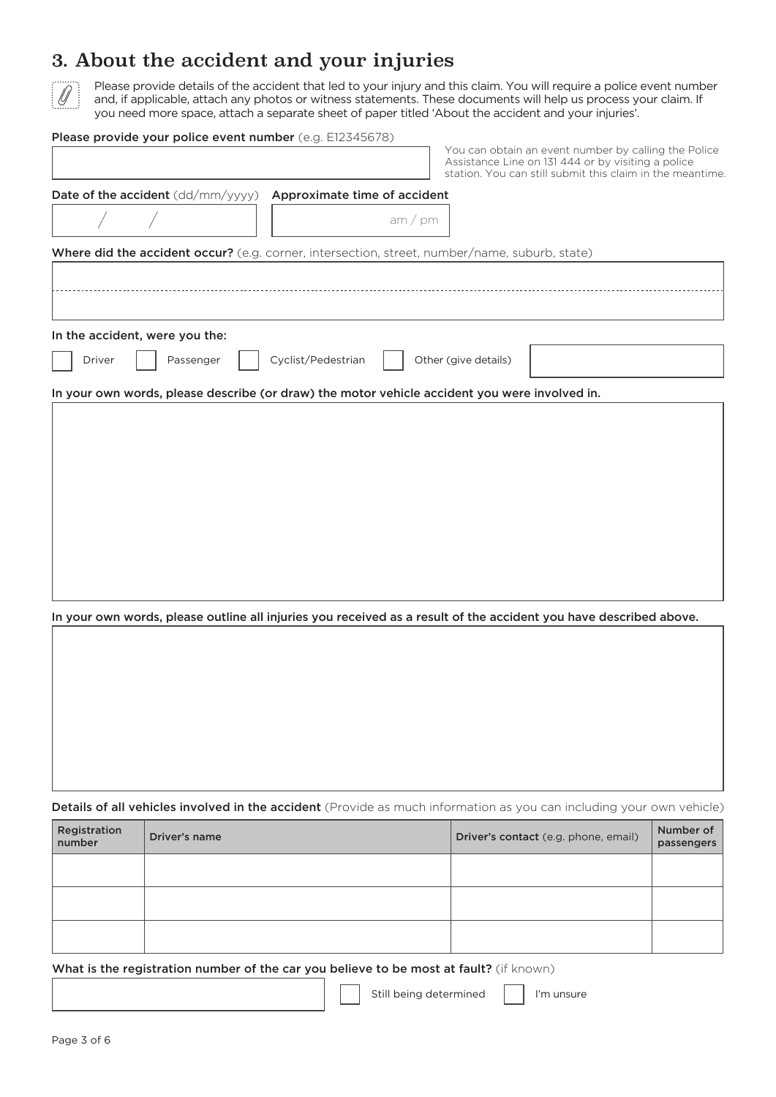### 3. About the accident and your injuries



Please provide details of the accident that led to your injury and this claim. You will require a police event number and, if applicable, attach any photos or witness statements. These documents will help us process your claim. If you need more space, attach a separate sheet of paper titled 'About the accident and your injuries'.

#### Please provide your police event number (e.g. E12345678)

You can obtain an event number by calling the Police Assistance Line on 131 444 or by visiting a police station. You can still submit this claim in the meantime. Date of the accident (dd/mm/yyyy) Approximate time of accident / / am / pm Where did the accident occur? (e.g. corner, intersection, street, number/name, suburb, state) In the accident, were you the: Driver | | Passenger | | Cyclist/Pedestrian | | Other (give details) In your own words, please describe (or draw) the motor vehicle accident you were involved in.

In your own words, please outline all injuries you received as a result of the accident you have described above.

Details of all vehicles involved in the accident (Provide as much information as you can including your own vehicle)

| Registration<br>number | Driver's name | Driver's contact (e.g. phone, email) | Number of<br>passengers |
|------------------------|---------------|--------------------------------------|-------------------------|
|                        |               |                                      |                         |
|                        |               |                                      |                         |
|                        |               |                                      |                         |

#### What is the registration number of the car you believe to be most at fault? (if known)

| I'm unsure |
|------------|
|            |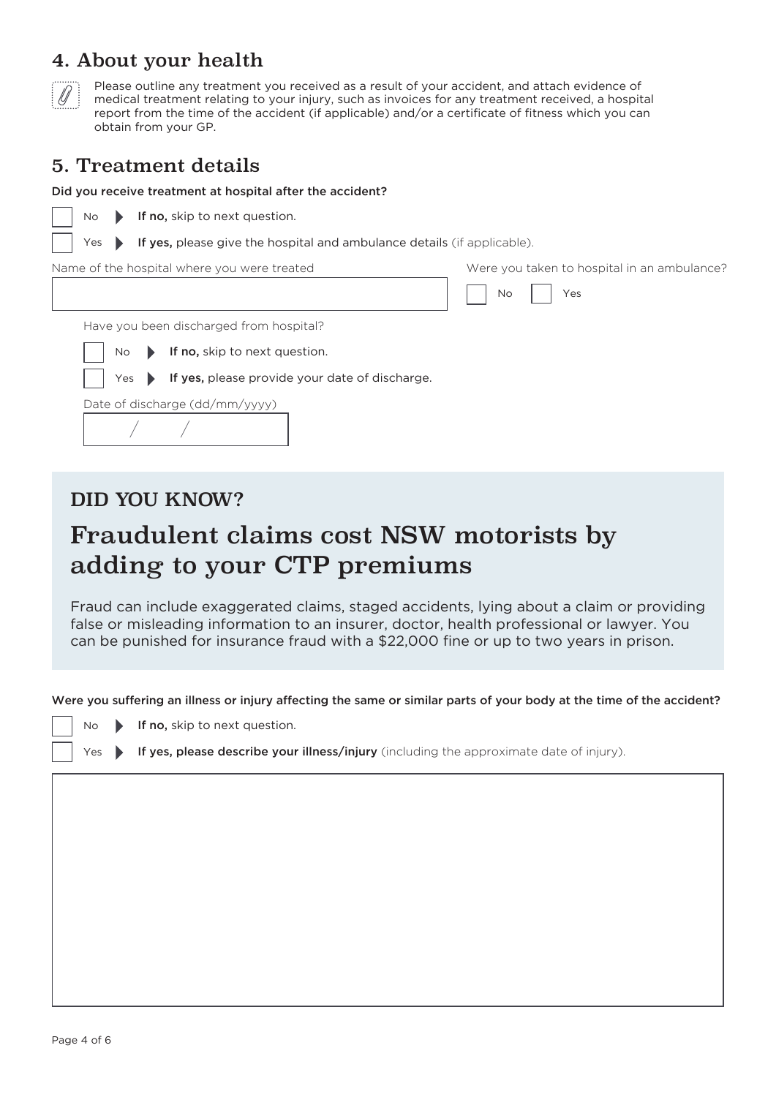### 4. About your health



Please outline any treatment you received as a result of your accident, and attach evidence of medical treatment relating to your injury, such as invoices for any treatment received, a hospital report from the time of the accident (if applicable) and/or a certificate of fitness which you can obtain from your GP.

### 5. Treatment details

#### Did you receive treatment at hospital after the accident?

No Yes No No Have you been discharged from hospital? Yes Yes If yes, please provide your date of discharge. If yes, please give the hospital and ambulance details (if applicable). If no, skip to next question. If no, skip to next question. Name of the hospital where you were treated Date of discharge (dd/mm/yyyy) Were you taken to hospital in an ambulance? / /

### DID YOU KNOW?

# Fraudulent claims cost NSW motorists by adding to your CTP premiums

Fraud can include exaggerated claims, staged accidents, lying about a claim or providing false or misleading information to an insurer, doctor, health professional or lawyer. You can be punished for insurance fraud with a \$22,000 fine or up to two years in prison.

Were you suffering an illness or injury affecting the same or similar parts of your body at the time of the accident?

- $N<sub>0</sub>$ If no, skip to next question.
- Yes If yes, please describe your illness/injury (including the approximate date of injury).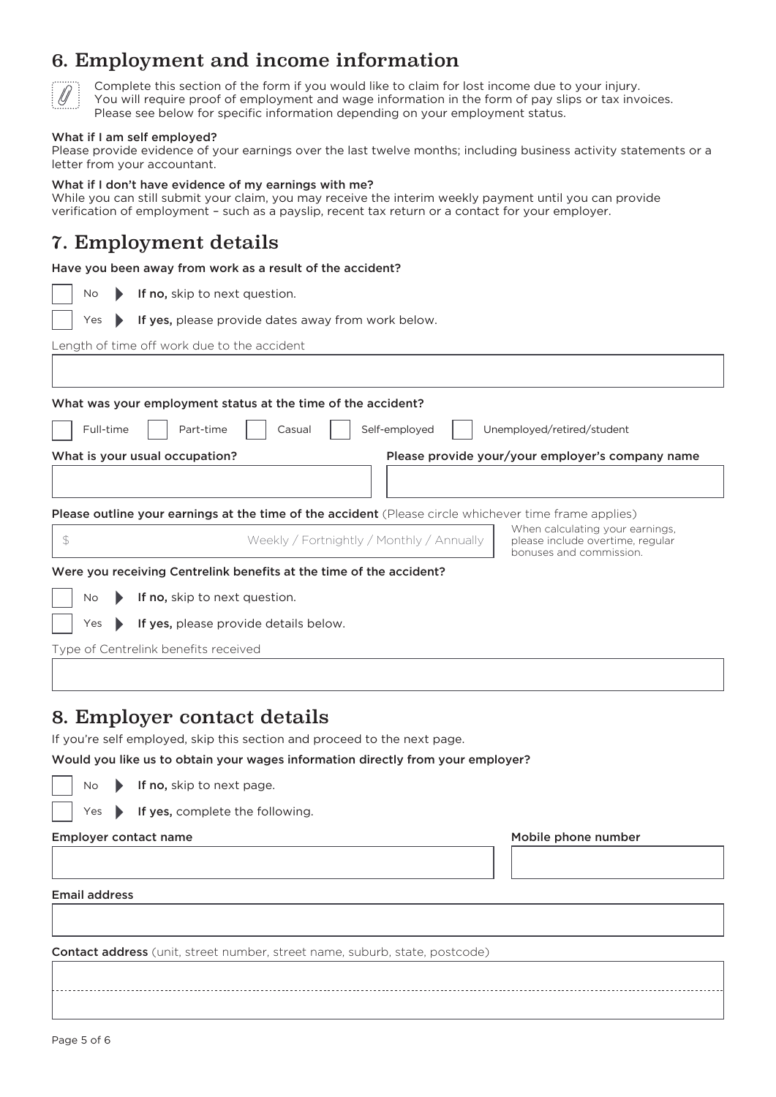# 6. Employment and income information



Complete this section of the form if you would like to claim for lost income due to your injury. You will require proof of employment and wage information in the form of pay slips or tax invoices. Please see below for specific information depending on your employment status.

#### What if I am self employed?

Please provide evidence of your earnings over the last twelve months; including business activity statements or a letter from your accountant.

#### What if I don't have evidence of my earnings with me?

While you can still submit your claim, you may receive the interim weekly payment until you can provide verification of employment – such as a payslip, recent tax return or a contact for your employer.

### 7. Employment details

|  | Have you been away from work as a result of the accident? |  |  |  |  |  |
|--|-----------------------------------------------------------|--|--|--|--|--|
|--|-----------------------------------------------------------|--|--|--|--|--|

|  | <b>No</b> | If no, skip to next question. |
|--|-----------|-------------------------------|
|--|-----------|-------------------------------|

If yes, please provide dates away from work below. Yes  $\blacktriangleright$ 

Length of time off work due to the accident

| What was your employment status at the time of the accident?                                                 |                                                                                                |  |  |  |  |
|--------------------------------------------------------------------------------------------------------------|------------------------------------------------------------------------------------------------|--|--|--|--|
| Full-time<br>Part-time<br>Casual                                                                             | Self-employed<br>Unemployed/retired/student                                                    |  |  |  |  |
| What is your usual occupation?                                                                               | Please provide your/your employer's company name                                               |  |  |  |  |
|                                                                                                              |                                                                                                |  |  |  |  |
| <b>Please outline your earnings at the time of the accident</b> (Please circle whichever time frame applies) |                                                                                                |  |  |  |  |
| $\mathcal{Z}$<br>Weekly / Fortnightly / Monthly / Annually                                                   | When calculating your earnings,<br>please include overtime, regular<br>bonuses and commission. |  |  |  |  |
| Were you receiving Centrelink benefits at the time of the accident?                                          |                                                                                                |  |  |  |  |
| If no, skip to next question.<br>No                                                                          |                                                                                                |  |  |  |  |
| If yes, please provide details below.<br>Yes                                                                 |                                                                                                |  |  |  |  |

Type of Centrelink benefits received

### 8. Employer contact details

If you're self employed, skip this section and proceed to the next page.

Would you like us to obtain your wages information directly from your employer?

- No If no, skip to next page.
- Yes **If yes, complete the following.**

#### Employer contact name

| Email address |
|---------------|
|               |

Contact address (unit, street number, street name, suburb, state, postcode)

Mobile phone number